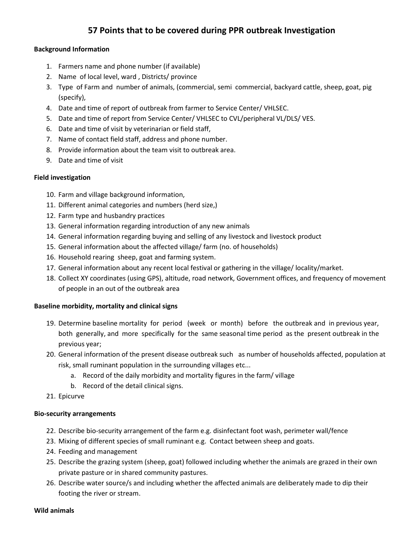# **57 Points that to be covered during PPR outbreak Investigation**

## **Background Information**

- 1. Farmers name and phone number (if available)
- 2. Name of local level, ward , Districts/ province
- 3. Type of Farm and number of animals, (commercial, semi commercial, backyard cattle, sheep, goat, pig (specify),
- 4. Date and time of report of outbreak from farmer to Service Center/ VHLSEC.
- 5. Date and time of report from Service Center/ VHLSEC to CVL/peripheral VL/DLS/ VES.
- 6. Date and time of visit by veterinarian or field staff,
- 7. Name of contact field staff, address and phone number.
- 8. Provide information about the team visit to outbreak area.
- 9. Date and time of visit

# **Field investigation**

- 10. Farm and village background information,
- 11. Different animal categories and numbers (herd size,)
- 12. Farm type and husbandry practices
- 13. General information regarding introduction of any new animals
- 14. General information regarding buying and selling of any livestock and livestock product
- 15. General information about the affected village/ farm (no. of households)
- 16. Household rearing sheep, goat and farming system.
- 17. General information about any recent local festival or gathering in the village/ locality/market.
- 18. Collect XY coordinates (using GPS), altitude, road network, Government offices, and frequency of movement of people in an out of the outbreak area

# **Baseline morbidity, mortality and clinical signs**

- 19. Determine baseline mortality for period (week or month) before the outbreak and in previous year, both generally, and more specifically for the same seasonal time period as the present outbreak in the previous year;
- 20. General information of the present disease outbreak such as number of households affected, population at risk, small ruminant population in the surrounding villages etc...
	- a. Record of the daily morbidity and mortality figures in the farm/ village
	- b. Record of the detail clinical signs.
- 21. Epicurve

# **Bio-security arrangements**

- 22. Describe bio-security arrangement of the farm e.g. disinfectant foot wash, perimeter wall/fence
- 23. Mixing of different species of small ruminant e.g. Contact between sheep and goats.
- 24. Feeding and management
- 25. Describe the grazing system (sheep, goat) followed including whether the animals are grazed in their own private pasture or in shared community pastures.
- 26. Describe water source/s and including whether the affected animals are deliberately made to dip their footing the river or stream.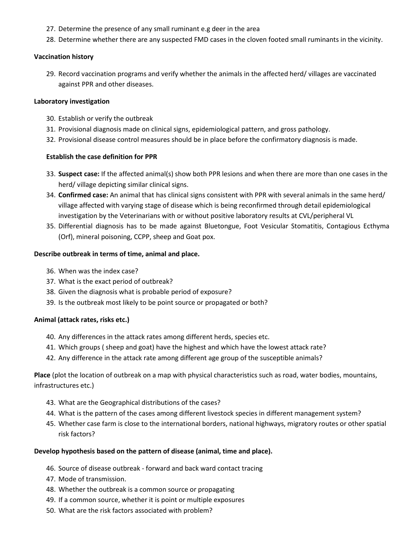- 27. Determine the presence of any small ruminant e.g deer in the area
- 28. Determine whether there are any suspected FMD cases in the cloven footed small ruminants in the vicinity.

#### **Vaccination history**

29. Record vaccination programs and verify whether the animals in the affected herd/ villages are vaccinated against PPR and other diseases.

#### **Laboratory investigation**

- 30. Establish or verify the outbreak
- 31. Provisional diagnosis made on clinical signs, epidemiological pattern, and gross pathology.
- 32. Provisional disease control measures should be in place before the confirmatory diagnosis is made.

### **Establish the case definition for PPR**

- 33. **Suspect case:** If the affected animal(s) show both PPR lesions and when there are more than one cases in the herd/ village depicting similar clinical signs.
- 34. **Confirmed case:** An animal that has clinical signs consistent with PPR with several animals in the same herd/ village affected with varying stage of disease which is being reconfirmed through detail epidemiological investigation by the Veterinarians with or without positive laboratory results at CVL/peripheral VL
- 35. Differential diagnosis has to be made against Bluetongue, Foot Vesicular Stomatitis, Contagious Ecthyma (Orf), mineral poisoning, CCPP, sheep and Goat pox.

### **Describe outbreak in terms of time, animal and place.**

- 36. When was the index case?
- 37. What is the exact period of outbreak?
- 38. Given the diagnosis what is probable period of exposure?
- 39. Is the outbreak most likely to be point source or propagated or both?

### **Animal (attack rates, risks etc.)**

- 40. Any differences in the attack rates among different herds, species etc.
- 41. Which groups ( sheep and goat) have the highest and which have the lowest attack rate?
- 42. Any difference in the attack rate among different age group of the susceptible animals?

**Place** (plot the location of outbreak on a map with physical characteristics such as road, water bodies, mountains, infrastructures etc.)

- 43. What are the Geographical distributions of the cases?
- 44. What is the pattern of the cases among different livestock species in different management system?
- 45. Whether case farm is close to the international borders, national highways, migratory routes or other spatial risk factors?

### **Develop hypothesis based on the pattern of disease (animal, time and place).**

- 46. Source of disease outbreak forward and back ward contact tracing
- 47. Mode of transmission.
- 48. Whether the outbreak is a common source or propagating
- 49. If a common source, whether it is point or multiple exposures
- 50. What are the risk factors associated with problem?